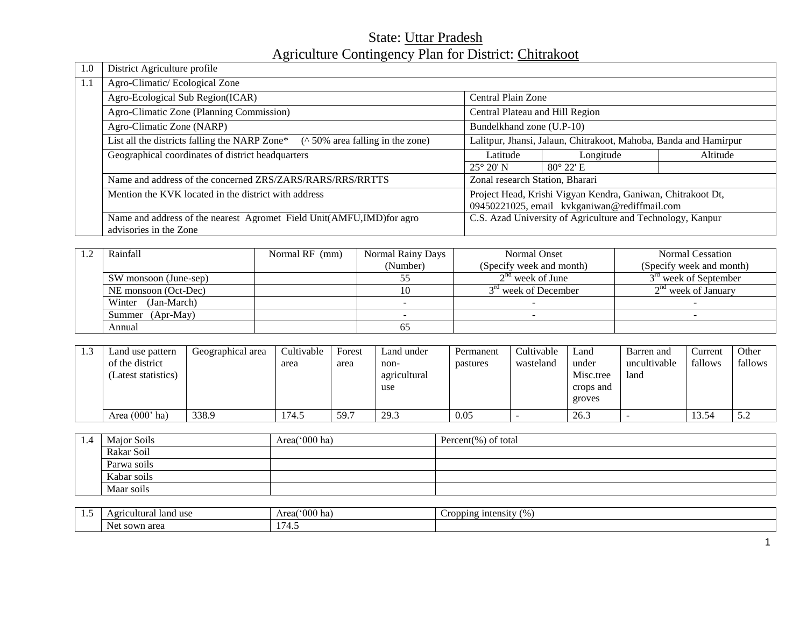# State: Uttar Pradesh Agriculture Contingency Plan for District: Chitrakoot

| 1.0 | District Agriculture profile                                                                        |                                                                  |                    |          |  |  |  |  |  |  |  |
|-----|-----------------------------------------------------------------------------------------------------|------------------------------------------------------------------|--------------------|----------|--|--|--|--|--|--|--|
| 1.1 | Agro-Climatic/Ecological Zone                                                                       |                                                                  |                    |          |  |  |  |  |  |  |  |
|     | Agro-Ecological Sub Region(ICAR)<br>Central Plain Zone                                              |                                                                  |                    |          |  |  |  |  |  |  |  |
|     | Agro-Climatic Zone (Planning Commission)                                                            | Central Plateau and Hill Region                                  |                    |          |  |  |  |  |  |  |  |
|     | Agro-Climatic Zone (NARP)                                                                           | Bundelkhand zone (U.P-10)                                        |                    |          |  |  |  |  |  |  |  |
|     | $($ \charamovidation 50% or a falling in the zone)<br>List all the districts falling the NARP Zone* | Lalitpur, Jhansi, Jalaun, Chitrakoot, Mahoba, Banda and Hamirpur |                    |          |  |  |  |  |  |  |  |
|     | Geographical coordinates of district headquarters                                                   | Latitude                                                         | Longitude          | Altitude |  |  |  |  |  |  |  |
|     |                                                                                                     | $25^{\circ} 20' N$                                               | $80^{\circ}$ 22' E |          |  |  |  |  |  |  |  |
|     | Name and address of the concerned ZRS/ZARS/RARS/RRS/RRTTS                                           | Zonal research Station, Bharari                                  |                    |          |  |  |  |  |  |  |  |
|     | Mention the KVK located in the district with address                                                | Project Head, Krishi Vigyan Kendra, Ganiwan, Chitrakoot Dt,      |                    |          |  |  |  |  |  |  |  |
|     |                                                                                                     | 09450221025, email kvkganiwan@rediffmail.com                     |                    |          |  |  |  |  |  |  |  |
|     | Name and address of the nearest Agromet Field Unit(AMFU, IMD) for agro                              | C.S. Azad University of Agriculture and Technology, Kanpur       |                    |          |  |  |  |  |  |  |  |
|     | advisories in the Zone                                                                              |                                                                  |                    |          |  |  |  |  |  |  |  |

| Rainfall<br>Normal RF (mm) |  | Normal Rainy Days | Normal Onset                     | Normal Cessation         |
|----------------------------|--|-------------------|----------------------------------|--------------------------|
|                            |  |                   | (Specify week and month)         | (Specify week and month) |
| SW monsoon (June-sep)      |  |                   | $2nd$ week of June               | $3rd$ week of September  |
| NE monsoon (Oct-Dec)       |  |                   | 3 <sup>rd</sup> week of December | $2nd$ week of January    |
| Winter (Jan-March)         |  |                   |                                  |                          |
| Summer (Apr-May)           |  |                   |                                  |                          |
| Annual                     |  | 65                |                                  |                          |

| $\mathbf{1}$ | Land use pattern    | Geographical area | Cultivable | Forest | Land under   | Permanent | Cultivable | Land      | Barren and   | ∠urrent | Other                        |
|--------------|---------------------|-------------------|------------|--------|--------------|-----------|------------|-----------|--------------|---------|------------------------------|
|              | of the district     |                   | area       | area   | non-         | pastures  | wasteland  | under     | uncultivable | fallows | fallows                      |
|              | (Latest statistics) |                   |            |        | agricultural |           |            | Misc.tree | land         |         |                              |
|              |                     |                   |            |        | use          |           |            | crops and |              |         |                              |
|              |                     |                   |            |        |              |           |            | groves    |              |         |                              |
|              | Area $(000'$ ha)    | 338.9             | 74.5       | 59.    | 29.3         | 0.05      |            | 26.3      |              | 13.54   | $\epsilon$ $\gamma$<br>ے . ب |

| -1.4 | Major Soils | Area('000 ha) | Percent $(\%)$ of total |  |  |  |
|------|-------------|---------------|-------------------------|--|--|--|
|      | Rakar Soil  |               |                         |  |  |  |
|      | Parwa soils |               |                         |  |  |  |
|      | Kabar soils |               |                         |  |  |  |
|      | Maar soils  |               |                         |  |  |  |

| . <u>.</u> | land use<br>$\triangle$ or<br>ultural<br>$\cdot$ . $\cdot$ . | $^{\circ}000$<br>) na<br>Area | ropping intensity<br>,,, |
|------------|--------------------------------------------------------------|-------------------------------|--------------------------|
|            | area<br><b>Net</b><br>sown                                   | $\sim$<br>ு.                  |                          |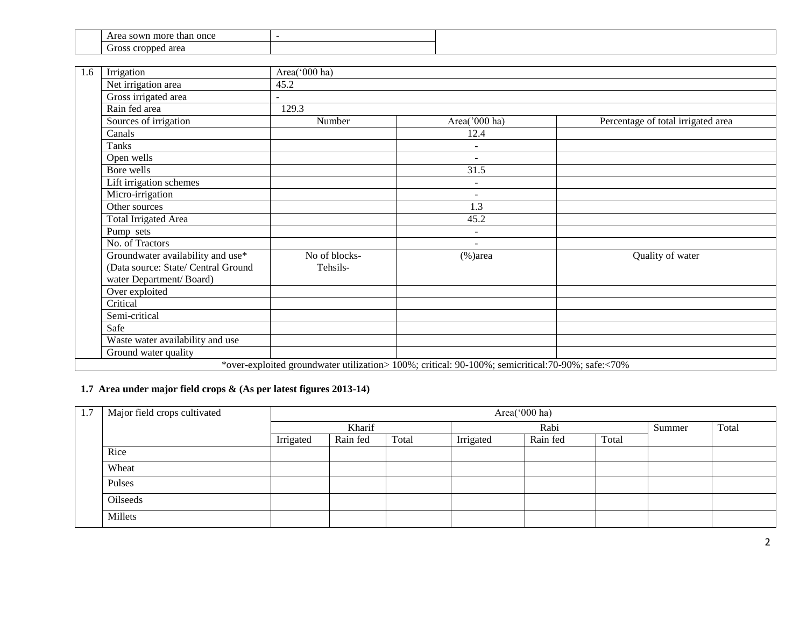| l once<br>more<br>Area sown<br>than |  |
|-------------------------------------|--|
| area<br><b>Propped</b><br>Gross     |  |

| 1.6 | Irrigation                                                                                          | Area('000 ha)             |                                                                                                  |                                    |
|-----|-----------------------------------------------------------------------------------------------------|---------------------------|--------------------------------------------------------------------------------------------------|------------------------------------|
|     | Net irrigation area                                                                                 | 45.2                      |                                                                                                  |                                    |
|     | Gross irrigated area                                                                                | $\blacksquare$            |                                                                                                  |                                    |
|     | Rain fed area                                                                                       | 129.3                     |                                                                                                  |                                    |
|     | Sources of irrigation                                                                               | Number                    | Area('000 ha)                                                                                    | Percentage of total irrigated area |
|     | Canals                                                                                              |                           | 12.4                                                                                             |                                    |
|     | Tanks                                                                                               |                           | $\overline{\phantom{a}}$                                                                         |                                    |
|     | Open wells                                                                                          |                           | $\sim$                                                                                           |                                    |
|     | Bore wells                                                                                          |                           | 31.5                                                                                             |                                    |
|     | Lift irrigation schemes                                                                             |                           | $\blacksquare$                                                                                   |                                    |
|     | Micro-irrigation                                                                                    |                           | $\overline{a}$                                                                                   |                                    |
|     | Other sources                                                                                       |                           | 1.3                                                                                              |                                    |
|     | <b>Total Irrigated Area</b>                                                                         |                           | 45.2                                                                                             |                                    |
|     | Pump sets                                                                                           |                           | $\overline{\phantom{a}}$                                                                         |                                    |
|     | No. of Tractors                                                                                     |                           | $\blacksquare$                                                                                   |                                    |
|     | Groundwater availability and use*<br>(Data source: State/ Central Ground<br>water Department/Board) | No of blocks-<br>Tehsils- | $%$ )area                                                                                        | Quality of water                   |
|     | Over exploited                                                                                      |                           |                                                                                                  |                                    |
|     | Critical                                                                                            |                           |                                                                                                  |                                    |
|     | Semi-critical                                                                                       |                           |                                                                                                  |                                    |
|     | Safe                                                                                                |                           |                                                                                                  |                                    |
|     | Waste water availability and use                                                                    |                           |                                                                                                  |                                    |
|     | Ground water quality                                                                                |                           |                                                                                                  |                                    |
|     |                                                                                                     |                           | *over-exploited groundwater utilization> 100%; critical: 90-100%; semicritical:70-90%; safe:<70% |                                    |

### **1.7 Area under major field crops & (As per latest figures 2013-14)**

| 1.7 | Major field crops cultivated |           |          |       |           | Area(' $000$ ha) |       |        |       |
|-----|------------------------------|-----------|----------|-------|-----------|------------------|-------|--------|-------|
|     |                              |           | Kharif   |       |           | Rabi             |       | Summer | Total |
|     |                              | Irrigated | Rain fed | Total | Irrigated | Rain fed         | Total |        |       |
|     | Rice                         |           |          |       |           |                  |       |        |       |
|     | Wheat                        |           |          |       |           |                  |       |        |       |
|     | Pulses                       |           |          |       |           |                  |       |        |       |
|     | Oilseeds                     |           |          |       |           |                  |       |        |       |
|     | Millets                      |           |          |       |           |                  |       |        |       |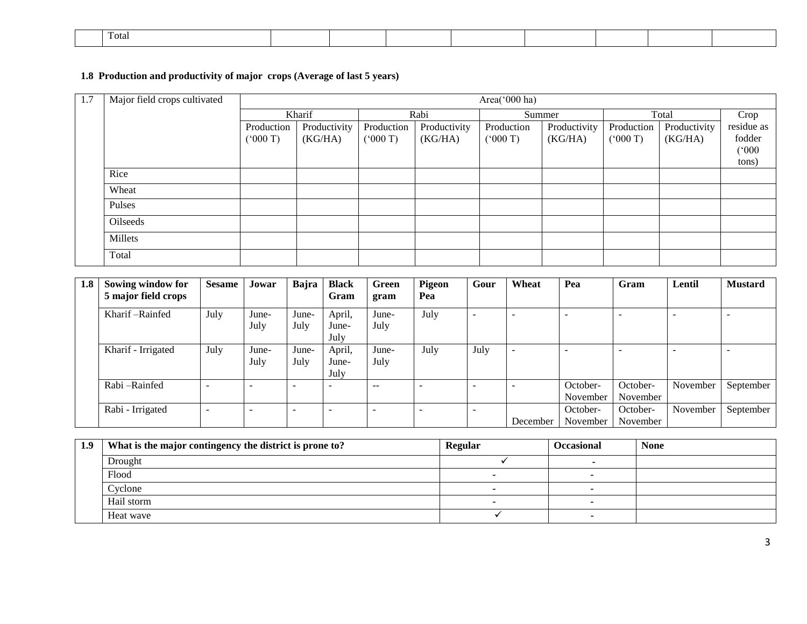| Fotal |  |  |  |  |  |
|-------|--|--|--|--|--|
|       |  |  |  |  |  |

### **1.8 Production and productivity of major crops (Average of last 5 years)**

| 1.7 | Major field crops cultivated |            | Area('000 ha) |            |              |            |              |            |              |            |
|-----|------------------------------|------------|---------------|------------|--------------|------------|--------------|------------|--------------|------------|
|     |                              |            | Kharif        |            | Rabi         |            | Summer       | Total      |              | Crop       |
|     |                              | Production | Productivity  | Production | Productivity | Production | Productivity | Production | Productivity | residue as |
|     |                              | (000T)     | (KG/HA)       | (000T)     | (KG/HA)      | (7000)     | (KG/HA)      | (000 T)    | (KG/HA)      | fodder     |
|     |                              |            |               |            |              |            |              |            |              | (000)      |
|     |                              |            |               |            |              |            |              |            |              | tons)      |
|     | Rice                         |            |               |            |              |            |              |            |              |            |
|     | Wheat                        |            |               |            |              |            |              |            |              |            |
|     | Pulses                       |            |               |            |              |            |              |            |              |            |
|     | Oilseeds                     |            |               |            |              |            |              |            |              |            |
|     | Millets                      |            |               |            |              |            |              |            |              |            |
|     | Total                        |            |               |            |              |            |              |            |              |            |

| 1.8 | Sowing window for   | <b>Sesame</b>            | Jowar                    | Bajra | <b>Black</b> | <b>Green</b> | Pigeon | Gour                     | Wheat                    | Pea                      | Gram     | Lentil                   | <b>Mustard</b>           |
|-----|---------------------|--------------------------|--------------------------|-------|--------------|--------------|--------|--------------------------|--------------------------|--------------------------|----------|--------------------------|--------------------------|
|     | 5 major field crops |                          |                          |       | Gram         | gram         | Pea    |                          |                          |                          |          |                          |                          |
|     | Kharif – Rainfed    | July                     | June-                    | June- | April,       | June-        | July   | $\overline{\phantom{a}}$ | <b>1999</b>              | $\overline{\phantom{a}}$ |          | $\overline{\phantom{a}}$ | $\overline{\phantom{a}}$ |
|     |                     |                          | July                     | July  | June-        | July         |        |                          |                          |                          |          |                          |                          |
|     |                     |                          |                          |       | July         |              |        |                          |                          |                          |          |                          |                          |
|     | Kharif - Irrigated  | July                     | June-                    | June- | April,       | June-        | July   | July                     |                          | -                        |          | -                        |                          |
|     |                     |                          | July                     | July  | June-        | July         |        |                          |                          |                          |          |                          |                          |
|     |                     |                          |                          |       | July         |              |        |                          |                          |                          |          |                          |                          |
|     | Rabi-Rainfed        | $\overline{\phantom{0}}$ | $\overline{\phantom{a}}$ |       | -            | $- -$        |        | ۰                        | $\overline{\phantom{a}}$ | October-                 | October- | November                 | September                |
|     |                     |                          |                          |       |              |              |        |                          |                          | November                 | November |                          |                          |
|     | Rabi - Irrigated    | $\overline{\phantom{0}}$ | -                        | -     | -            |              |        | ۰                        |                          | October-                 | October- | November                 | September                |
|     |                     |                          |                          |       |              |              |        |                          | December                 | November                 | November |                          |                          |

| 1.9 | What is the major contingency the district is prone to? | <b>Regular</b> | <b>Occasional</b> | <b>None</b> |
|-----|---------------------------------------------------------|----------------|-------------------|-------------|
|     | Drought                                                 |                |                   |             |
|     | Flood                                                   |                |                   |             |
|     | Cyclone                                                 |                |                   |             |
|     | Hail storm                                              |                |                   |             |
|     | Heat wave                                               |                |                   |             |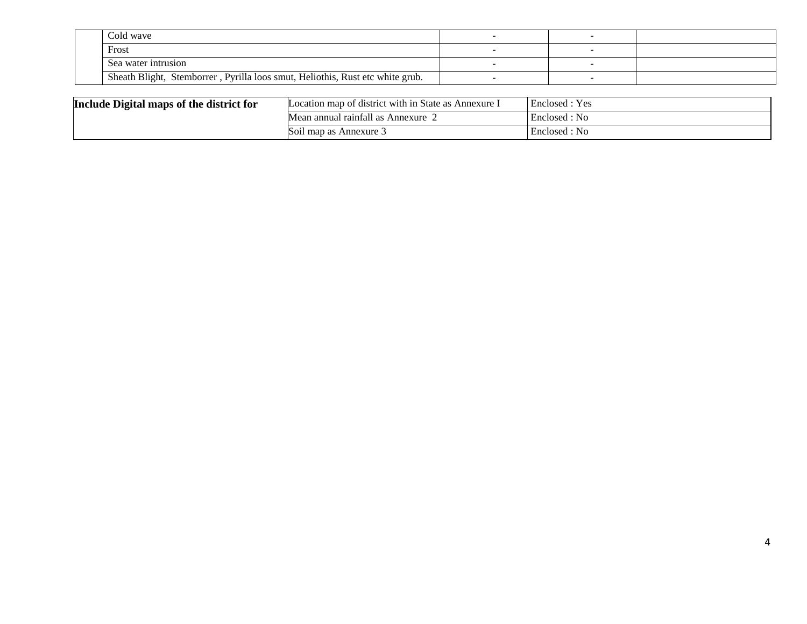| Cold wave                                                                     |  |  |
|-------------------------------------------------------------------------------|--|--|
| Frost                                                                         |  |  |
| Sea water intrusion                                                           |  |  |
| Sheath Blight, Stemborrer, Pyrilla loos smut, Heliothis, Rust etc white grub. |  |  |

| Include Digital maps of the district for | Location map of district with in State as Annexure I | Enclosed : Yes |
|------------------------------------------|------------------------------------------------------|----------------|
|                                          | Mean annual rainfall as Annexure                     | Enclosed : No  |
|                                          | Soil map as Annexure.                                | Enclosed : No  |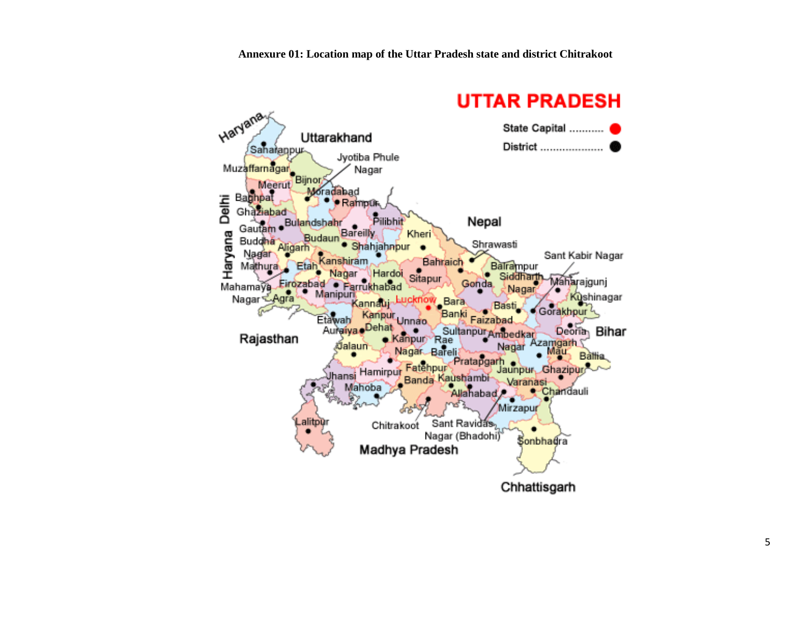# **UTTAR PRADESH**

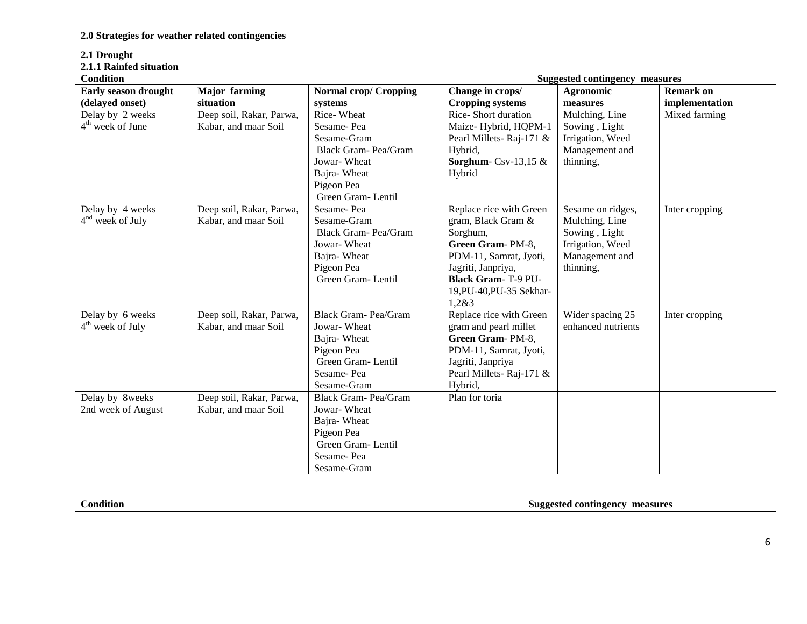### **2.1 Drought**

#### **2.1.1 Rainfed situation**

| <b>Condition</b>             |                          |                              | <b>Suggested contingency measures</b> |                    |                  |
|------------------------------|--------------------------|------------------------------|---------------------------------------|--------------------|------------------|
| <b>Early season drought</b>  | <b>Major</b> farming     | <b>Normal crop/ Cropping</b> | Change in crops/                      | Agronomic          | <b>Remark on</b> |
| (delayed onset)              | situation                | systems                      | <b>Cropping systems</b>               | measures           | implementation   |
| Delay by 2 weeks             | Deep soil, Rakar, Parwa, | Rice-Wheat                   | Rice-Short duration                   | Mulching, Line     | Mixed farming    |
| 4 <sup>th</sup> week of June | Kabar, and maar Soil     | Sesame-Pea                   | Maize-Hybrid, HQPM-1                  | Sowing, Light      |                  |
|                              |                          | Sesame-Gram                  | Pearl Millets-Raj-171 &               | Irrigation, Weed   |                  |
|                              |                          | Black Gram-Pea/Gram          | Hybrid,                               | Management and     |                  |
|                              |                          | Jowar-Wheat                  | Sorghum-Csv-13,15 $&$                 | thinning,          |                  |
|                              |                          | Bajra-Wheat                  | Hybrid                                |                    |                  |
|                              |                          | Pigeon Pea                   |                                       |                    |                  |
|                              |                          | Green Gram-Lentil            |                                       |                    |                  |
| Delay by 4 weeks             | Deep soil, Rakar, Parwa, | Sesame-Pea                   | Replace rice with Green               | Sesame on ridges,  | Inter cropping   |
| $4nd$ week of July           | Kabar, and maar Soil     | Sesame-Gram                  | gram, Black Gram &                    | Mulching, Line     |                  |
|                              |                          | Black Gram-Pea/Gram          | Sorghum,                              | Sowing, Light      |                  |
|                              |                          | Jowar-Wheat                  | Green Gram-PM-8,                      | Irrigation, Weed   |                  |
|                              |                          | Bajra-Wheat                  | PDM-11, Samrat, Jyoti,                | Management and     |                  |
|                              |                          | Pigeon Pea                   | Jagriti, Janpriya,                    | thinning,          |                  |
|                              |                          | Green Gram-Lentil            | <b>Black Gram-T-9 PU-</b>             |                    |                  |
|                              |                          |                              | 19, PU-40, PU-35 Sekhar-              |                    |                  |
|                              |                          |                              | 1,2&3                                 |                    |                  |
| Delay by 6 weeks             | Deep soil, Rakar, Parwa, | Black Gram- Pea/Gram         | Replace rice with Green               | Wider spacing 25   | Inter cropping   |
| $4th$ week of July           | Kabar, and maar Soil     | Jowar-Wheat                  | gram and pearl millet                 | enhanced nutrients |                  |
|                              |                          | Bajra-Wheat                  | Green Gram-PM-8,                      |                    |                  |
|                              |                          | Pigeon Pea                   | PDM-11, Samrat, Jyoti,                |                    |                  |
|                              |                          | Green Gram-Lentil            | Jagriti, Janpriya                     |                    |                  |
|                              |                          | Sesame-Pea                   | Pearl Millets-Raj-171 &               |                    |                  |
|                              |                          | Sesame-Gram                  | Hybrid,                               |                    |                  |
| Delay by 8weeks              | Deep soil, Rakar, Parwa, | Black Gram- Pea/Gram         | Plan for toria                        |                    |                  |
| 2nd week of August           | Kabar, and maar Soil     | Jowar-Wheat                  |                                       |                    |                  |
|                              |                          | Bajra-Wheat                  |                                       |                    |                  |
|                              |                          | Pigeon Pea                   |                                       |                    |                  |
|                              |                          | Green Gram-Lentil            |                                       |                    |                  |
|                              |                          | Sesame-Pea                   |                                       |                    |                  |
|                              |                          | Sesame-Gram                  |                                       |                    |                  |

| $\sim$<br>$\cdots$<br>ondition | l contingency<br>measures<br>Suooested<br>ື້<br>ంల |
|--------------------------------|----------------------------------------------------|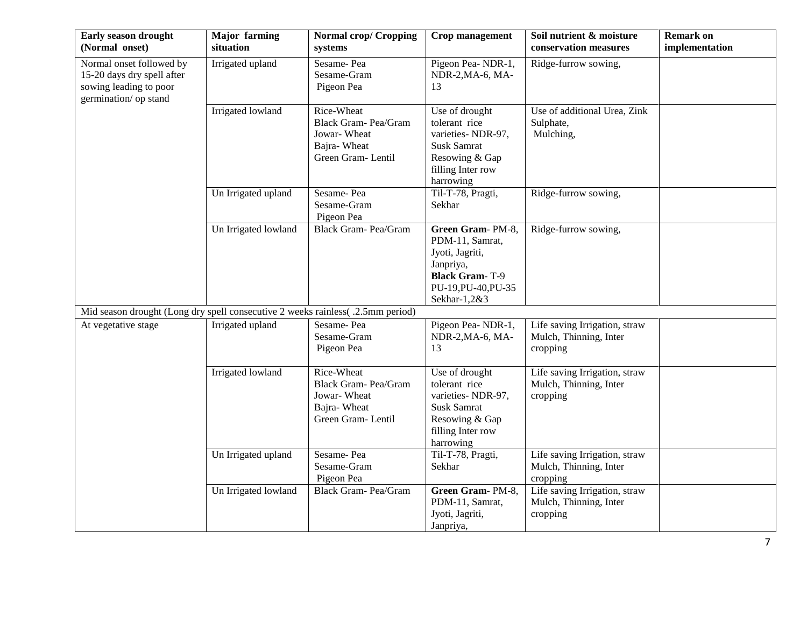| Early season drought<br>(Normal onset)                                                                    | <b>Major</b> farming<br>situation | <b>Normal crop/ Cropping</b><br>systems                                               | Crop management                                                                                                                     | Soil nutrient & moisture<br>conservation measures                   | <b>Remark on</b><br>implementation |
|-----------------------------------------------------------------------------------------------------------|-----------------------------------|---------------------------------------------------------------------------------------|-------------------------------------------------------------------------------------------------------------------------------------|---------------------------------------------------------------------|------------------------------------|
| Normal onset followed by<br>15-20 days dry spell after<br>sowing leading to poor<br>germination/ op stand | Irrigated upland                  | Sesame-Pea<br>Sesame-Gram<br>Pigeon Pea                                               | Pigeon Pea-NDR-1,<br>NDR-2, MA-6, MA-<br>13                                                                                         | Ridge-furrow sowing,                                                |                                    |
|                                                                                                           | Irrigated lowland                 | Rice-Wheat<br>Black Gram-Pea/Gram<br>Jowar-Wheat<br>Bajra-Wheat<br>Green Gram-Lentil  | Use of drought<br>tolerant rice<br>varieties-NDR-97,<br><b>Susk Samrat</b><br>Resowing & Gap<br>filling Inter row<br>harrowing      | Use of additional Urea, Zink<br>Sulphate,<br>Mulching,              |                                    |
|                                                                                                           | Un Irrigated upland               | Sesame-Pea<br>Sesame-Gram<br>Pigeon Pea                                               | Til-T-78, Pragti,<br>Sekhar                                                                                                         | Ridge-furrow sowing,                                                |                                    |
|                                                                                                           | Un Irrigated lowland              | Black Gram- Pea/Gram                                                                  | Green Gram-PM-8,<br>PDM-11, Samrat,<br>Jyoti, Jagriti,<br>Janpriya,<br><b>Black Gram-T-9</b><br>PU-19, PU-40, PU-35<br>Sekhar-1,2&3 | Ridge-furrow sowing,                                                |                                    |
| Mid season drought (Long dry spell consecutive 2 weeks rainless( .2.5mm period)                           |                                   |                                                                                       |                                                                                                                                     |                                                                     |                                    |
| At vegetative stage                                                                                       | Irrigated upland                  | Sesame-Pea<br>Sesame-Gram<br>Pigeon Pea                                               | Pigeon Pea-NDR-1,<br>NDR-2, MA-6, MA-<br>13                                                                                         | Life saving Irrigation, straw<br>Mulch, Thinning, Inter<br>cropping |                                    |
|                                                                                                           | Irrigated lowland                 | Rice-Wheat<br>Black Gram- Pea/Gram<br>Jowar-Wheat<br>Bajra-Wheat<br>Green Gram-Lentil | Use of drought<br>tolerant rice<br>varieties-NDR-97,<br><b>Susk Samrat</b><br>Resowing & Gap<br>filling Inter row<br>harrowing      | Life saving Irrigation, straw<br>Mulch, Thinning, Inter<br>cropping |                                    |
|                                                                                                           | Un Irrigated upland               | Sesame-Pea<br>Sesame-Gram<br>Pigeon Pea                                               | Til-T-78, Pragti,<br>Sekhar                                                                                                         | Life saving Irrigation, straw<br>Mulch, Thinning, Inter<br>cropping |                                    |
|                                                                                                           | Un Irrigated lowland              | <b>Black Gram-Pea/Gram</b>                                                            | Green Gram-PM-8,<br>PDM-11, Samrat,<br>Jyoti, Jagriti,<br>Janpriya,                                                                 | Life saving Irrigation, straw<br>Mulch, Thinning, Inter<br>cropping |                                    |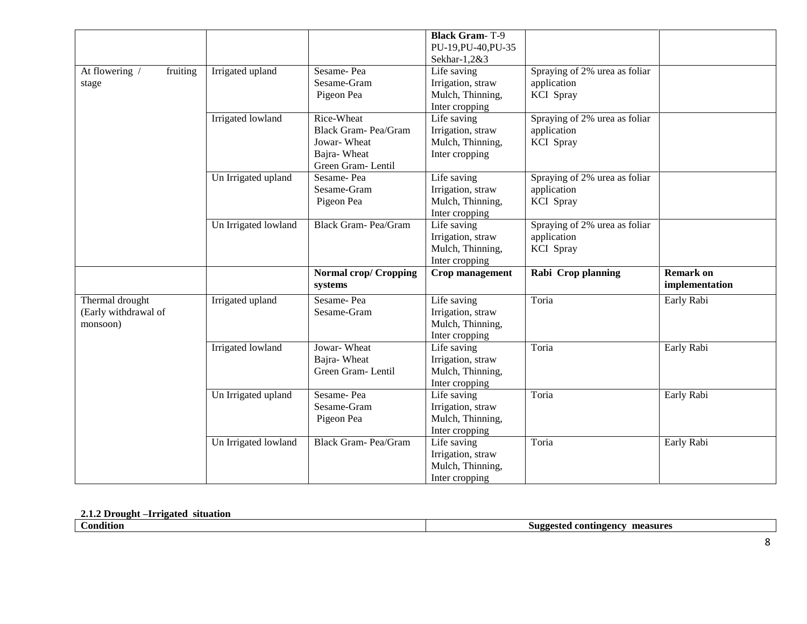|                            |                      |                              | <b>Black Gram-T-9</b>                 |                               |                  |
|----------------------------|----------------------|------------------------------|---------------------------------------|-------------------------------|------------------|
|                            |                      |                              | PU-19, PU-40, PU-35                   |                               |                  |
|                            |                      |                              | Sekhar-1,2&3                          |                               |                  |
| At flowering /<br>fruiting | Irrigated upland     | Sesame-Pea                   | Life saving                           | Spraying of 2% urea as foliar |                  |
| stage                      |                      | Sesame-Gram                  | Irrigation, straw                     | application                   |                  |
|                            |                      | Pigeon Pea                   | Mulch, Thinning,                      | <b>KCI</b> Spray              |                  |
|                            |                      |                              | Inter cropping                        |                               |                  |
|                            | Irrigated lowland    | Rice-Wheat                   | Life saving                           | Spraying of 2% urea as foliar |                  |
|                            |                      | Black Gram- Pea/Gram         | Irrigation, straw                     | application                   |                  |
|                            |                      | Jowar-Wheat                  | Mulch, Thinning,                      | KCI Spray                     |                  |
|                            |                      | Bajra-Wheat                  | Inter cropping                        |                               |                  |
|                            |                      | Green Gram-Lentil            |                                       |                               |                  |
|                            | Un Irrigated upland  | Sesame-Pea                   | Life saving                           | Spraying of 2% urea as foliar |                  |
|                            |                      | Sesame-Gram                  | Irrigation, straw                     | application                   |                  |
|                            |                      | Pigeon Pea                   | Mulch, Thinning,                      | KCI Spray                     |                  |
|                            |                      |                              | Inter cropping                        |                               |                  |
|                            | Un Irrigated lowland | Black Gram- Pea/Gram         | Life saving                           | Spraying of 2% urea as foliar |                  |
|                            |                      |                              | Irrigation, straw                     | application                   |                  |
|                            |                      |                              | Mulch, Thinning,                      | KCI Spray                     |                  |
|                            |                      |                              | Inter cropping                        |                               |                  |
|                            |                      | <b>Normal crop/ Cropping</b> | Crop management                       | Rabi Crop planning            | <b>Remark on</b> |
|                            |                      |                              |                                       |                               |                  |
|                            |                      | systems                      |                                       |                               | implementation   |
| Thermal drought            | Irrigated upland     | Sesame-Pea                   | Life saving                           | Toria                         | Early Rabi       |
| (Early withdrawal of       |                      | Sesame-Gram                  | Irrigation, straw                     |                               |                  |
| monsoon)                   |                      |                              | Mulch, Thinning,                      |                               |                  |
|                            |                      |                              | Inter cropping                        |                               |                  |
|                            | Irrigated lowland    | Jowar-Wheat                  | Life saving                           | Toria                         | Early Rabi       |
|                            |                      | Bajra-Wheat                  |                                       |                               |                  |
|                            |                      | Green Gram-Lentil            | Irrigation, straw<br>Mulch, Thinning, |                               |                  |
|                            |                      |                              | Inter cropping                        |                               |                  |
|                            | Un Irrigated upland  | Sesame-Pea                   | Life saving                           | Toria                         | Early Rabi       |
|                            |                      | Sesame-Gram                  | Irrigation, straw                     |                               |                  |
|                            |                      | Pigeon Pea                   | Mulch, Thinning,                      |                               |                  |
|                            |                      |                              | Inter cropping                        |                               |                  |
|                            | Un Irrigated lowland | Black Gram-Pea/Gram          | Life saving                           | Toria                         | Early Rabi       |
|                            |                      |                              |                                       |                               |                  |
|                            |                      |                              | Irrigation, straw<br>Mulch, Thinning, |                               |                  |

### **2.1.2 Drought –Irrigated situation**

| <br>ondition | measures<br>l contingency<br>-81199ec<br>31 A |
|--------------|-----------------------------------------------|
|              |                                               |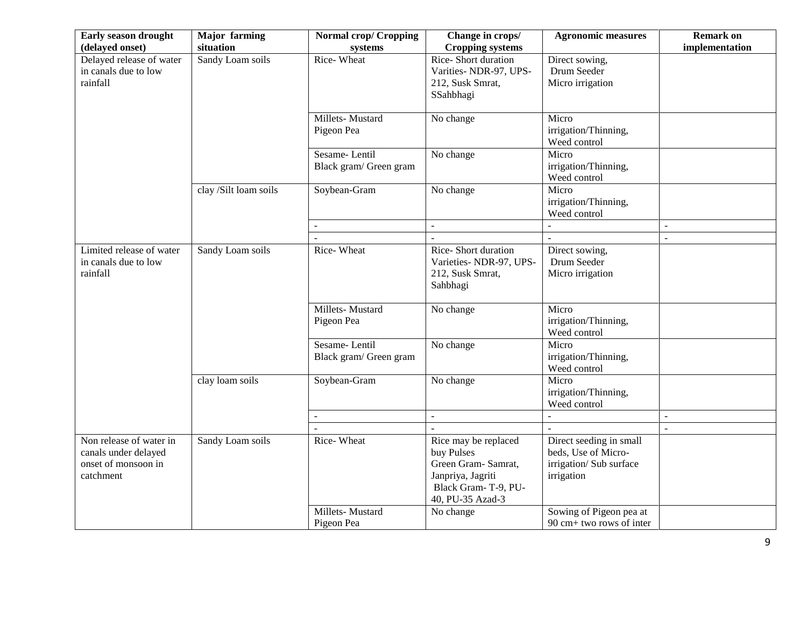| Early season drought<br>(delayed onset)                                             | <b>Major</b> farming<br>situation | <b>Normal crop/ Cropping</b><br>systems | Change in crops/<br><b>Cropping systems</b>                                                                               | <b>Agronomic measures</b>                                                               | <b>Remark on</b><br>implementation |
|-------------------------------------------------------------------------------------|-----------------------------------|-----------------------------------------|---------------------------------------------------------------------------------------------------------------------------|-----------------------------------------------------------------------------------------|------------------------------------|
| Delayed release of water<br>in canals due to low<br>rainfall                        | Sandy Loam soils                  | Rice-Wheat                              | Rice-Short duration<br>Varities-NDR-97, UPS-<br>212, Susk Smrat,<br>SSahbhagi                                             | Direct sowing,<br>Drum Seeder<br>Micro irrigation                                       |                                    |
|                                                                                     |                                   | Millets-Mustard<br>Pigeon Pea           | No change                                                                                                                 | Micro<br>irrigation/Thinning,<br>Weed control                                           |                                    |
|                                                                                     |                                   | Sesame-Lentil<br>Black gram/ Green gram | No change                                                                                                                 | Micro<br>irrigation/Thinning,<br>Weed control                                           |                                    |
|                                                                                     | clay /Silt loam soils             | Soybean-Gram                            | No change                                                                                                                 | Micro<br>irrigation/Thinning,<br>Weed control                                           |                                    |
|                                                                                     |                                   | $\mathbb{L}^+$                          | $\mathbf{r}$                                                                                                              | $\sim$                                                                                  | $\sim$                             |
| Limited release of water<br>in canals due to low<br>rainfall                        | Sandy Loam soils                  | Rice-Wheat                              | Rice-Short duration<br>Varieties- NDR-97, UPS-<br>212, Susk Smrat,<br>Sahbhagi                                            | Direct sowing,<br>Drum Seeder<br>Micro irrigation                                       | $\overline{\phantom{a}}$           |
|                                                                                     |                                   | Millets-Mustard<br>Pigeon Pea           | No change                                                                                                                 | Micro<br>irrigation/Thinning,<br>Weed control                                           |                                    |
|                                                                                     |                                   | Sesame-Lentil<br>Black gram/ Green gram | No change                                                                                                                 | Micro<br>irrigation/Thinning,<br>Weed control                                           |                                    |
|                                                                                     | clay loam soils                   | Soybean-Gram                            | No change                                                                                                                 | Micro<br>irrigation/Thinning,<br>Weed control                                           |                                    |
|                                                                                     |                                   | $\blacksquare$                          | $\blacksquare$                                                                                                            | $\overline{a}$                                                                          | $\sim$                             |
| Non release of water in<br>canals under delayed<br>onset of monsoon in<br>catchment | Sandy Loam soils                  | Rice-Wheat                              | Rice may be replaced<br>buy Pulses<br>Green Gram- Samrat,<br>Janpriya, Jagriti<br>Black Gram-T-9, PU-<br>40, PU-35 Azad-3 | Direct seeding in small<br>beds, Use of Micro-<br>irrigation/ Sub surface<br>irrigation |                                    |
|                                                                                     |                                   | Millets-Mustard<br>Pigeon Pea           | No change                                                                                                                 | Sowing of Pigeon pea at<br>90 cm+ two rows of inter                                     |                                    |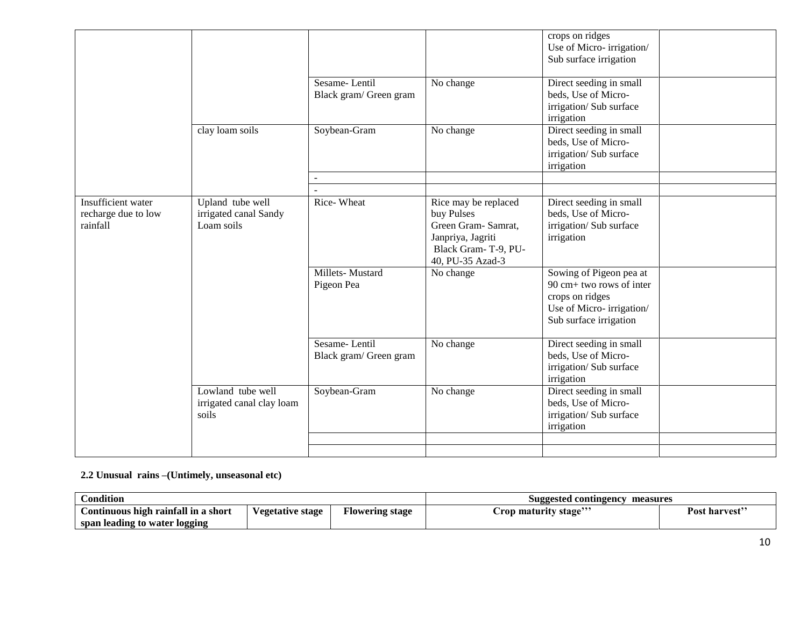|                                                       |                                                         |                                         |                                                                                                                          | crops on ridges<br>Use of Micro-irrigation/<br>Sub surface irrigation                                                        |  |
|-------------------------------------------------------|---------------------------------------------------------|-----------------------------------------|--------------------------------------------------------------------------------------------------------------------------|------------------------------------------------------------------------------------------------------------------------------|--|
|                                                       |                                                         | Sesame-Lentil<br>Black gram/ Green gram | No change                                                                                                                | Direct seeding in small<br>beds, Use of Micro-<br>irrigation/ Sub surface<br>irrigation                                      |  |
|                                                       | clay loam soils                                         | Soybean-Gram                            | No change                                                                                                                | Direct seeding in small<br>beds, Use of Micro-<br>irrigation/ Sub surface<br>irrigation                                      |  |
|                                                       |                                                         | $\overline{a}$                          |                                                                                                                          |                                                                                                                              |  |
| Insufficient water<br>recharge due to low<br>rainfall | Upland tube well<br>irrigated canal Sandy<br>Loam soils | Rice-Wheat                              | Rice may be replaced<br>buy Pulses<br>Green Gram-Samrat,<br>Janpriya, Jagriti<br>Black Gram-T-9, PU-<br>40, PU-35 Azad-3 | Direct seeding in small<br>beds, Use of Micro-<br>irrigation/ Sub surface<br>irrigation                                      |  |
|                                                       |                                                         | Millets-Mustard<br>Pigeon Pea           | No change                                                                                                                | Sowing of Pigeon pea at<br>90 cm+ two rows of inter<br>crops on ridges<br>Use of Micro-irrigation/<br>Sub surface irrigation |  |
|                                                       |                                                         | Sesame-Lentil<br>Black gram/ Green gram | No change                                                                                                                | Direct seeding in small<br>beds, Use of Micro-<br>irrigation/ Sub surface<br>irrigation                                      |  |
|                                                       | Lowland tube well<br>irrigated canal clay loam<br>soils | Soybean-Gram                            | No change                                                                                                                | Direct seeding in small<br>beds, Use of Micro-<br>irrigation/ Sub surface<br>irrigation                                      |  |
|                                                       |                                                         |                                         |                                                                                                                          |                                                                                                                              |  |
|                                                       |                                                         |                                         |                                                                                                                          |                                                                                                                              |  |

**2.2 Unusual rains –(Untimely, unseasonal etc)**

| Condition<br>$\sim$                 |                  |                 | Suggested contingency<br>measures        |                           |  |
|-------------------------------------|------------------|-----------------|------------------------------------------|---------------------------|--|
| Continuous high rainfall in a short | Vegetative stage | Flowering stage | <br>$\cup$ rop maturity stage $^{\circ}$ | Post harvest <sup>3</sup> |  |
| span leading to water logging       |                  |                 |                                          |                           |  |